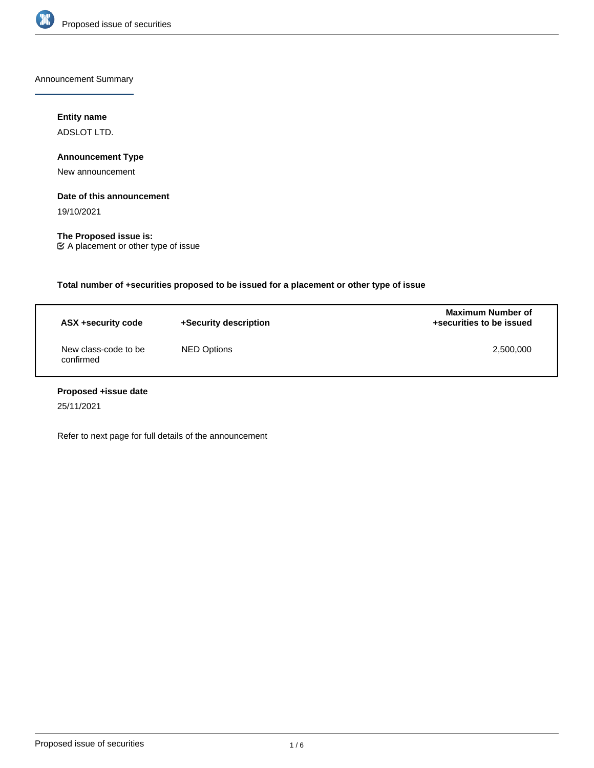

Announcement Summary

# **Entity name**

ADSLOT LTD.

**Announcement Type**

New announcement

#### **Date of this announcement**

19/10/2021

**The Proposed issue is:** A placement or other type of issue

**Total number of +securities proposed to be issued for a placement or other type of issue**

| ASX +security code                | +Security description | <b>Maximum Number of</b><br>+securities to be issued |  |
|-----------------------------------|-----------------------|------------------------------------------------------|--|
| New class-code to be<br>confirmed | NED Options           | 2,500,000                                            |  |

# **Proposed +issue date**

25/11/2021

Refer to next page for full details of the announcement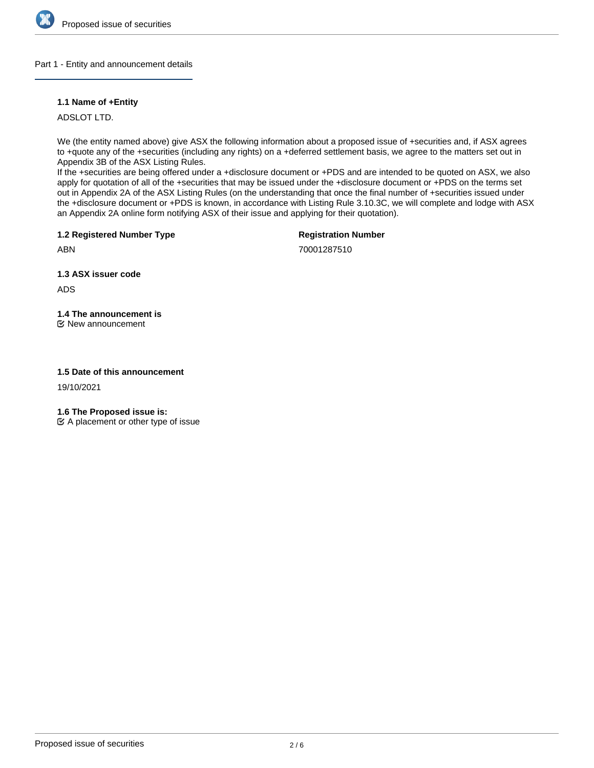

Part 1 - Entity and announcement details

# **1.1 Name of +Entity**

ADSLOT LTD.

We (the entity named above) give ASX the following information about a proposed issue of +securities and, if ASX agrees to +quote any of the +securities (including any rights) on a +deferred settlement basis, we agree to the matters set out in Appendix 3B of the ASX Listing Rules.

If the +securities are being offered under a +disclosure document or +PDS and are intended to be quoted on ASX, we also apply for quotation of all of the +securities that may be issued under the +disclosure document or +PDS on the terms set out in Appendix 2A of the ASX Listing Rules (on the understanding that once the final number of +securities issued under the +disclosure document or +PDS is known, in accordance with Listing Rule 3.10.3C, we will complete and lodge with ASX an Appendix 2A online form notifying ASX of their issue and applying for their quotation).

**1.2 Registered Number Type**

**Registration Number**

70001287510

**1.3 ASX issuer code**

ADS

ABN

**1.4 The announcement is**

New announcement

### **1.5 Date of this announcement**

19/10/2021

**1.6 The Proposed issue is:**

 $\mathfrak{C}$  A placement or other type of issue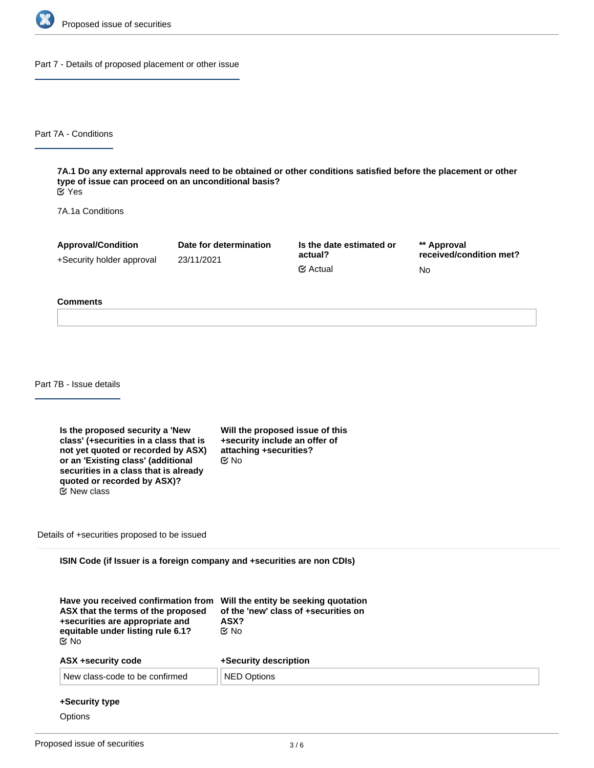

Part 7 - Details of proposed placement or other issue

Part 7A - Conditions

**7A.1 Do any external approvals need to be obtained or other conditions satisfied before the placement or other type of issue can proceed on an unconditional basis?** Yes

7A.1a Conditions

| <b>Approval/Condition</b> | Date for determination | Is the date estimated or | ** Approval             |
|---------------------------|------------------------|--------------------------|-------------------------|
| +Security holder approval | 23/11/2021             | actual?                  | received/condition met? |
|                           |                        | $\mathfrak{C}$ Actual    | No                      |

#### **Comments**

Part 7B - Issue details

**Is the proposed security a 'New class' (+securities in a class that is not yet quoted or recorded by ASX) or an 'Existing class' (additional securities in a class that is already quoted or recorded by ASX)?** New class

**Will the proposed issue of this +security include an offer of attaching +securities?** No

Details of +securities proposed to be issued

**ISIN Code (if Issuer is a foreign company and +securities are non CDIs)**

| Have you received confirmation from<br>ASX that the terms of the proposed<br>+securities are appropriate and<br>equitable under listing rule 6.1?<br>় No | Will the entity be seeking quotation<br>of the 'new' class of +securities on<br>ASX?<br>t⊻ No |
|-----------------------------------------------------------------------------------------------------------------------------------------------------------|-----------------------------------------------------------------------------------------------|
| ASX +security code                                                                                                                                        | +Security description                                                                         |
| New class-code to be confirmed                                                                                                                            | <b>NED Options</b>                                                                            |

#### **+Security type**

**Options**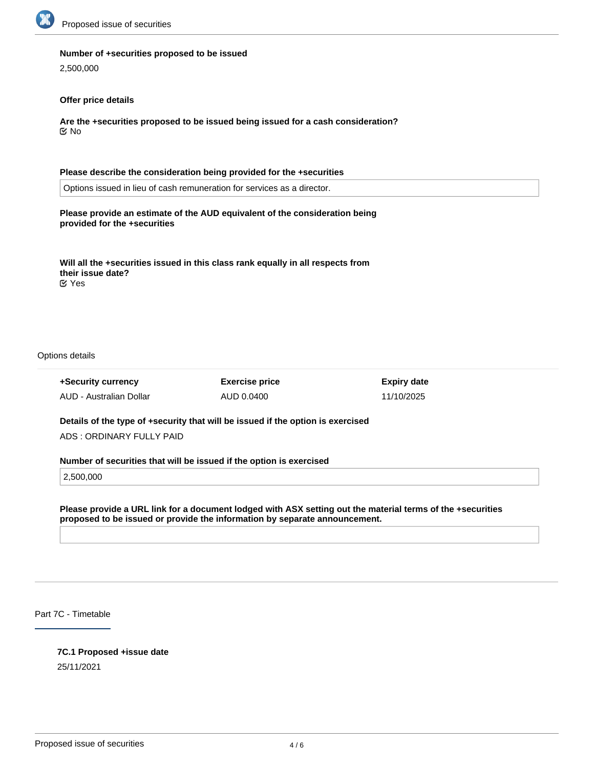

#### **Number of +securities proposed to be issued**

2,500,000

#### **Offer price details**

**Are the +securities proposed to be issued being issued for a cash consideration?** No

# **Please describe the consideration being provided for the +securities**

Options issued in lieu of cash remuneration for services as a director.

### **Please provide an estimate of the AUD equivalent of the consideration being provided for the +securities**

**Will all the +securities issued in this class rank equally in all respects from their issue date?** Yes

Options details

**+Security currency** AUD - Australian Dollar **Exercise price** AUD 0.0400

**Expiry date** 11/10/2025

**Details of the type of +security that will be issued if the option is exercised** ADS : ORDINARY FULLY PAID

#### **Number of securities that will be issued if the option is exercised**

2,500,000

**Please provide a URL link for a document lodged with ASX setting out the material terms of the +securities proposed to be issued or provide the information by separate announcement.**

Part 7C - Timetable

#### **7C.1 Proposed +issue date**

25/11/2021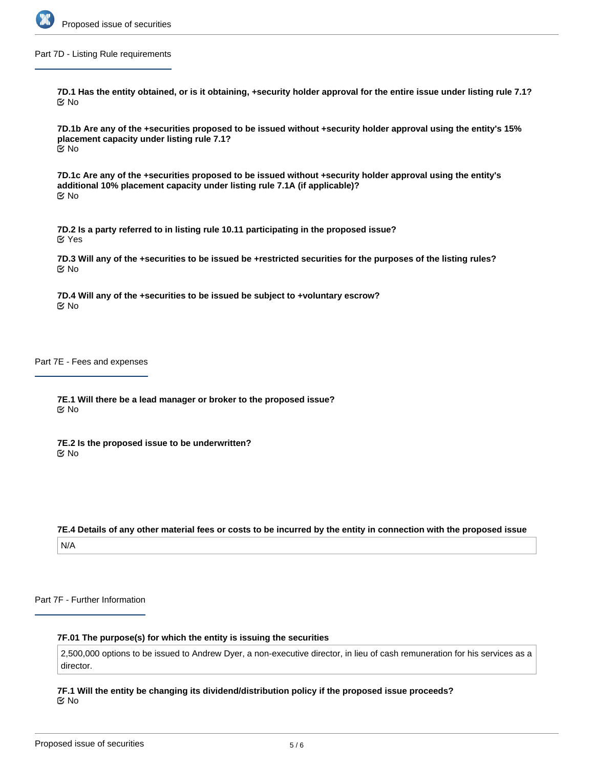

Part 7D - Listing Rule requirements

**7D.1 Has the entity obtained, or is it obtaining, +security holder approval for the entire issue under listing rule 7.1?** No

**7D.1b Are any of the +securities proposed to be issued without +security holder approval using the entity's 15% placement capacity under listing rule 7.1?** No

**7D.1c Are any of the +securities proposed to be issued without +security holder approval using the entity's additional 10% placement capacity under listing rule 7.1A (if applicable)?** No

**7D.2 Is a party referred to in listing rule 10.11 participating in the proposed issue?** Yes

**7D.3 Will any of the +securities to be issued be +restricted securities for the purposes of the listing rules?** No

**7D.4 Will any of the +securities to be issued be subject to +voluntary escrow?** No

Part 7E - Fees and expenses

**7E.1 Will there be a lead manager or broker to the proposed issue?** No

**7E.2 Is the proposed issue to be underwritten?** No

**7E.4 Details of any other material fees or costs to be incurred by the entity in connection with the proposed issue** N/A

Part 7F - Further Information

#### **7F.01 The purpose(s) for which the entity is issuing the securities**

2,500,000 options to be issued to Andrew Dyer, a non-executive director, in lieu of cash remuneration for his services as a director.

**7F.1 Will the entity be changing its dividend/distribution policy if the proposed issue proceeds?** No

**7F.2 Any other information the entity wishes to provide about the proposed issue**